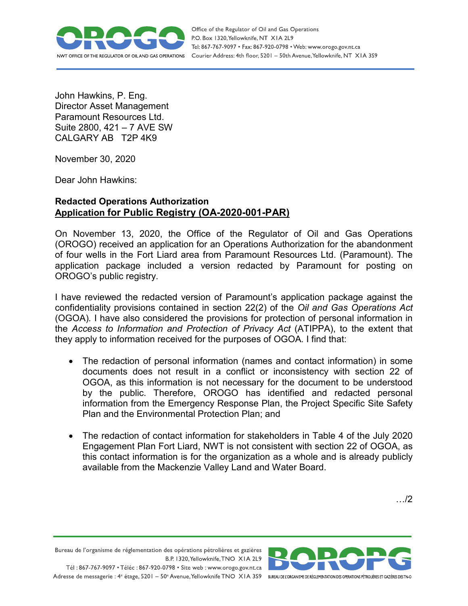

Office of the Regulator of Oil and Gas Operations P.O. Box 1320, Yellowknife, NT XIA 2L9 Tel: 867-767-9097 • Fax: 867-920-0798 • Web: www.orogo.gov.nt.ca Courier Address: 4th floor, 5201 - 50th Avenue, Yellowknife, NT XIA 3S9

John Hawkins, P. Eng. Director Asset Management Paramount Resources Ltd. Suite 2800, 421 – 7 AVE SW CALGARY AB T2P 4K9

November 30, 2020

Dear John Hawkins:

## **Redacted Operations Authorization Application for Public Registry (OA-2020-001-PAR)**

On November 13, 2020, the Office of the Regulator of Oil and Gas Operations (OROGO) received an application for an Operations Authorization for the abandonment of four wells in the Fort Liard area from Paramount Resources Ltd. (Paramount). The application package included a version redacted by Paramount for posting on OROGO's public registry.

I have reviewed the redacted version of Paramount's application package against the confidentiality provisions contained in section 22(2) of the *Oil and Gas Operations Act*  (OGOA)*.* I have also considered the provisions for protection of personal information in the *Access to Information and Protection of Privacy Act* (ATIPPA), to the extent that they apply to information received for the purposes of OGOA*.* I find that:

- The redaction of personal information (names and contact information) in some documents does not result in a conflict or inconsistency with section 22 of OGOA, as this information is not necessary for the document to be understood by the public. Therefore, OROGO has identified and redacted personal information from the Emergency Response Plan, the Project Specific Site Safety Plan and the Environmental Protection Plan; and
- The redaction of contact information for stakeholders in Table 4 of the July 2020 Engagement Plan Fort Liard, NWT is not consistent with section 22 of OGOA, as this contact information is for the organization as a whole and is already publicly available from the Mackenzie Valley Land and Water Board.

…/2

Bureau de l'organisme de réglementation des opérations pétrolières et gazières B.P. 1320, Yellowknife, TNO XIA 2L9 Tél: 867-767-9097 • Téléc: 867-920-0798 • Site web: www.orogo.gov.nt.ca Adresse de messagerie : 4<sup>e</sup> étage, 5201 - 50° Avenue, Yellowknife TNO XIA 3S9 BUREAU DEL'ORGANISME DE RÉGLEMENTATION DES OPERATIONS PÉTROLIÈRES ET GAZIÈRES DESTNO